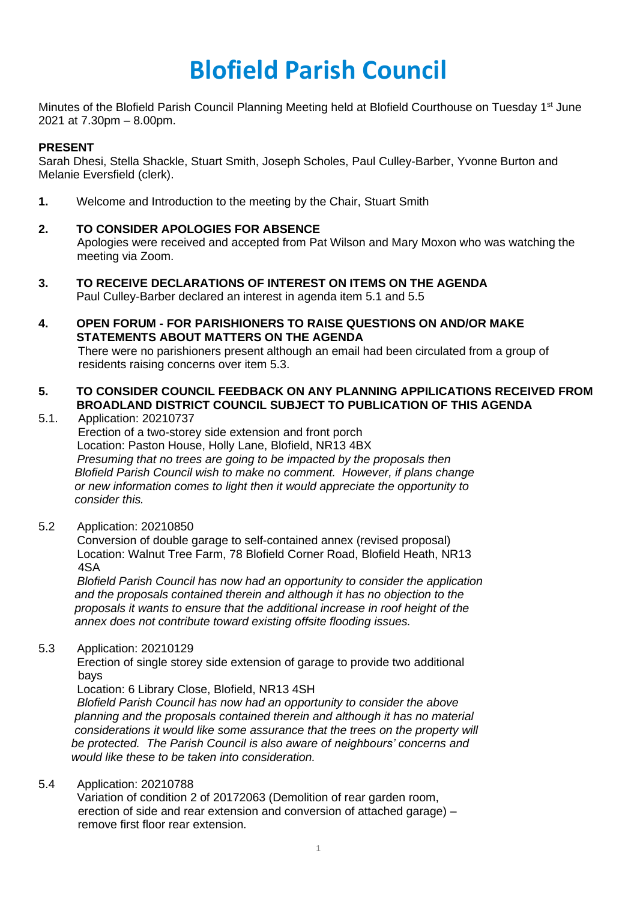# **Blofield Parish Council**

Minutes of the Blofield Parish Council Planning Meeting held at Blofield Courthouse on Tuesday 1<sup>st</sup> June 2021 at 7.30pm – 8.00pm.

# **PRESENT**

Sarah Dhesi, Stella Shackle, Stuart Smith, Joseph Scholes, Paul Culley-Barber, Yvonne Burton and Melanie Eversfield (clerk).

**1.** Welcome and Introduction to the meeting by the Chair, Stuart Smith

# **2. TO CONSIDER APOLOGIES FOR ABSENCE**

Apologies were received and accepted from Pat Wilson and Mary Moxon who was watching the meeting via Zoom.

- **3. TO RECEIVE DECLARATIONS OF INTEREST ON ITEMS ON THE AGENDA** Paul Culley-Barber declared an interest in agenda item 5.1 and 5.5
- **4. OPEN FORUM - FOR PARISHIONERS TO RAISE QUESTIONS ON AND/OR MAKE STATEMENTS ABOUT MATTERS ON THE AGENDA**  There were no parishioners present although an email had been circulated from a group of residents raising concerns over item 5.3.

# **5. TO CONSIDER COUNCIL FEEDBACK ON ANY PLANNING APPILICATIONS RECEIVED FROM BROADLAND DISTRICT COUNCIL SUBJECT TO PUBLICATION OF THIS AGENDA**

- 5.1. Application: 20210737 Erection of a two-storey side extension and front porch Location: Paston House, Holly Lane, Blofield, NR13 4BX *Presuming that no trees are going to be impacted by the proposals then Blofield Parish Council wish to make no comment. However, if plans change or new information comes to light then it would appreciate the opportunity to consider this.*
- 5.2 Application: 20210850

Conversion of double garage to self-contained annex (revised proposal) Location: Walnut Tree Farm, 78 Blofield Corner Road, Blofield Heath, NR13 4SA

*Blofield Parish Council has now had an opportunity to consider the application and the proposals contained therein and although it has no objection to the proposals it wants to ensure that the additional increase in roof height of the annex does not contribute toward existing offsite flooding issues.* 

5.3 Application: 20210129

Erection of single storey side extension of garage to provide two additional bays

Location: 6 Library Close, Blofield, NR13 4SH

*Blofield Parish Council has now had an opportunity to consider the above planning and the proposals contained therein and although it has no material considerations it would like some assurance that the trees on the property will be protected. The Parish Council is also aware of neighbours' concerns and would like these to be taken into consideration.* 

#### 5.4 Application: 20210788

Variation of condition 2 of 20172063 (Demolition of rear garden room, erection of side and rear extension and conversion of attached garage) – remove first floor rear extension.